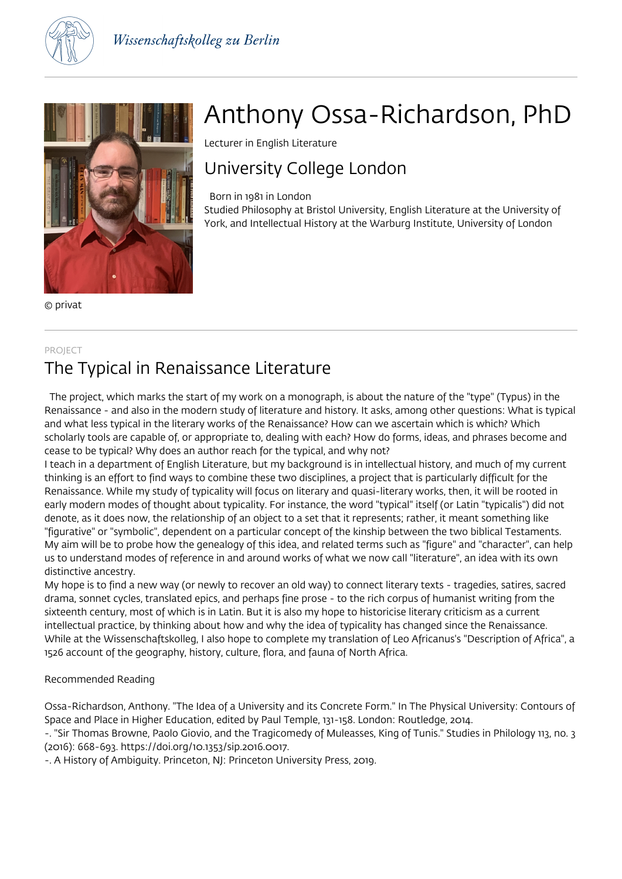



© privat

# PROJECT

# The Typical in Renaissance Literature

 The project, which marks the start of my work on a monograph, is about the nature of the "type" (Typus) in the Renaissance - and also in the modern study of literature and history. It asks, among other questions: What is typical and what less typical in the literary works of the Renaissance? How can we ascertain which is which? Which scholarly tools are capable of, or appropriate to, dealing with each? How do forms, ideas, and phrases become and cease to be typical? Why does an author reach for the typical, and why not?

I teach in a department of English Literature, but my background is in intellectual history, and much of my current thinking is an effort to find ways to combine these two disciplines, a project that is particularly difficult for the Renaissance. While my study of typicality will focus on literary and quasi-literary works, then, it will be rooted in early modern modes of thought about typicality. For instance, the word "typical" itself (or Latin "typicalis") did not denote, as it does now, the relationship of an object to a set that it represents; rather, it meant something like "figurative" or "symbolic", dependent on a particular concept of the kinship between the two biblical Testaments. My aim will be to probe how the genealogy of this idea, and related terms such as "figure" and "character", can help us to understand modes of reference in and around works of what we now call "literature", an idea with its own distinctive ancestry.

My hope is to find a new way (or newly to recover an old way) to connect literary texts - tragedies, satires, sacred drama, sonnet cycles, translated epics, and perhaps fine prose - to the rich corpus of humanist writing from the sixteenth century, most of which is in Latin. But it is also my hope to historicise literary criticism as a current intellectual practice, by thinking about how and why the idea of typicality has changed since the Renaissance. While at the Wissenschaftskolleg, I also hope to complete my translation of Leo Africanus's "Description of Africa", a 1526 account of the geography, history, culture, flora, and fauna of North Africa.

## Recommended Reading

Ossa-Richardson, Anthony. "The Idea of a University and its Concrete Form." In The Physical University: Contours of Space and Place in Higher Education, edited by Paul Temple, 131-158. London: Routledge, 2014.

-. "Sir Thomas Browne, Paolo Giovio, and the Tragicomedy of Muleasses, King of Tunis." Studies in Philology 113, no. 3 (2016): 668-693. https://doi.org/10.1353/sip.2016.0017.

-. A History of Ambiguity. Princeton, NJ: Princeton University Press, 2019.

# Anthony Ossa-Richardson, PhD

Lecturer in English Literature

# University College London

Born in 1981 in London

Studied Philosophy at Bristol University, English Literature at the University of York, and Intellectual History at the Warburg Institute, University of London